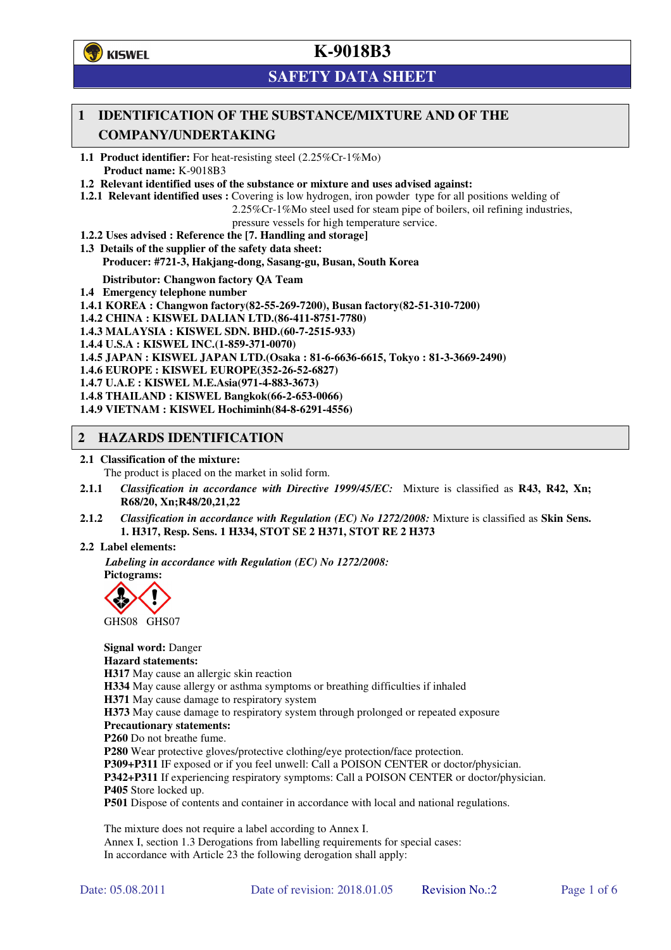

# **SAFETY DATA SHEET**

## **1 IDENTIFICATION OF THE SUBSTANCE/MIXTURE AND OF THE COMPANY/UNDERTAKING**

**1.1 Product identifier:** For heat-resisting steel (2.25%Cr-1%Mo) **Product name:** K-9018B3

**1.2 Relevant identified uses of the substance or mixture and uses advised against:**

**1.2.1 Relevant identified uses :** Covering is low hydrogen, iron powder type for all positions welding of

2.25%Cr-1%Mo steel used for steam pipe of boilers, oil refining industries,

pressure vessels for high temperature service.

- **1.2.2 Uses advised : Reference the [7. Handling and storage]**
- **1.3 Details of the supplier of the safety data sheet: Producer: #721-3, Hakjang-dong, Sasang-gu, Busan, South Korea**

**Distributor: Changwon factory QA Team** 

- **1.4 Emergency telephone number**
- **1.4.1 KOREA : Changwon factory(82-55-269-7200), Busan factory(82-51-310-7200)**

**1.4.2 CHINA : KISWEL DALIAN LTD.(86-411-8751-7780)** 

**1.4.3 MALAYSIA : KISWEL SDN. BHD.(60-7-2515-933)** 

**1.4.4 U.S.A : KISWEL INC.(1-859-371-0070)** 

**1.4.5 JAPAN : KISWEL JAPAN LTD.(Osaka : 81-6-6636-6615, Tokyo : 81-3-3669-2490)** 

**1.4.6 EUROPE : KISWEL EUROPE(352-26-52-6827)** 

**1.4.7 U.A.E : KISWEL M.E.Asia(971-4-883-3673)** 

**1.4.8 THAILAND : KISWEL Bangkok(66-2-653-0066)** 

**1.4.9 VIETNAM : KISWEL Hochiminh(84-8-6291-4556)** 

#### **2 HAZARDS IDENTIFICATION**

#### **2.1 Classification of the mixture:**

The product is placed on the market in solid form.

- **2.1.1** *Classification in accordance with Directive 1999/45/EC:* Mixture is classified as **R43, R42, Xn; R68/20, Xn;R48/20,21,22**
- **2.1.2** *Classification in accordance with Regulation (EC) No 1272/2008:* Mixture is classified as **Skin Sens. 1. H317, Resp. Sens. 1 H334, STOT SE 2 H371, STOT RE 2 H373**

#### **2.2 Label elements:**

*Labeling in accordance with Regulation (EC) No 1272/2008:*  **Pictograms:** 



GHS08 GHS07

**Signal word:** Danger **Hazard statements: H317** May cause an allergic skin reaction **H334** May cause allergy or asthma symptoms or breathing difficulties if inhaled **H371** May cause damage to respiratory system **H373** May cause damage to respiratory system through prolonged or repeated exposure **Precautionary statements: P260** Do not breathe fume. **P280** Wear protective gloves/protective clothing/eye protection/face protection. **P309+P311** IF exposed or if you feel unwell: Call a POISON CENTER or doctor/physician. **P342+P311** If experiencing respiratory symptoms: Call a POISON CENTER or doctor/physician. **P405** Store locked up. **P501** Dispose of contents and container in accordance with local and national regulations.

The mixture does not require a label according to Annex I. Annex I, section 1.3 Derogations from labelling requirements for special cases: In accordance with Article 23 the following derogation shall apply: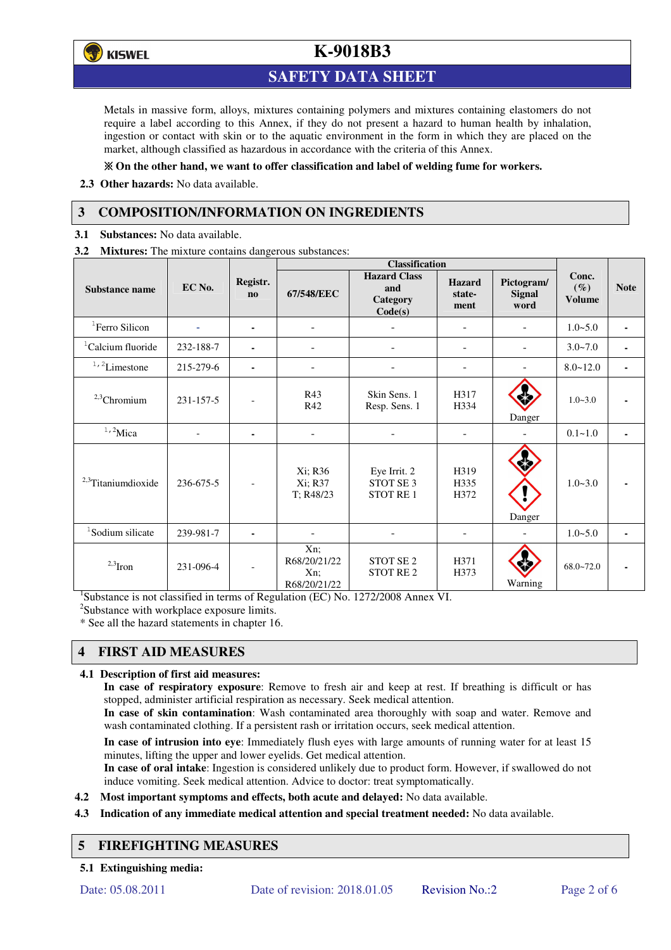

## **SAFETY DATA SHEET**

Metals in massive form, alloys, mixtures containing polymers and mixtures containing elastomers do not require a label according to this Annex, if they do not present a hazard to human health by inhalation, ingestion or contact with skin or to the aquatic environment in the form in which they are placed on the market, although classified as hazardous in accordance with the criteria of this Annex.

#### **On the other hand, we want to offer classification and label of welding fume for workers.**

**2.3 Other hazards:** No data available.

## **3 COMPOSITION/INFORMATION ON INGREDIENTS**

**3.1 Substances:** No data available.

**3.2 Mixtures:** The mixture contains dangerous substances:

|                                |           |                                    | <b>Classification</b>                            |                                                         |                                 |                                     |                                  |             |
|--------------------------------|-----------|------------------------------------|--------------------------------------------------|---------------------------------------------------------|---------------------------------|-------------------------------------|----------------------------------|-------------|
| <b>Substance name</b>          | EC No.    | Registr.<br>$\mathbf{n}\mathbf{o}$ | 67/548/EEC                                       | <b>Hazard Class</b><br>and<br>Category<br>Code(s)       | <b>Hazard</b><br>state-<br>ment | Pictogram/<br><b>Signal</b><br>word | Conc.<br>$(\%)$<br><b>Volume</b> | <b>Note</b> |
| <sup>1</sup> Ferro Silicon     | ۰         | ٠                                  |                                                  |                                                         |                                 |                                     | $1.0 - 5.0$                      |             |
| <sup>1</sup> Calcium fluoride  | 232-188-7 | $\blacksquare$                     | ۰                                                |                                                         | $\qquad \qquad \blacksquare$    | $\blacksquare$                      | $3.0 - 7.0$                      |             |
| $1, 2$ Limestone               | 215-279-6 | ٠                                  | ۰                                                |                                                         | ٠                               |                                     | $8.0 - 12.0$                     |             |
| $2,3$ Chromium                 | 231-157-5 |                                    | R43<br>R42                                       | Skin Sens. 1<br>Resp. Sens. 1                           | H317<br>H334                    | Danger                              | $1.0 - 3.0$                      |             |
| $1,2$ Mica                     |           | $\blacksquare$                     |                                                  |                                                         |                                 |                                     | $0.1 - 1.0$                      |             |
| <sup>2,3</sup> Titaniumdioxide | 236-675-5 | $\overline{\phantom{a}}$           | Xi; R36<br>Xi; R37<br>T; R48/23                  | Eye Irrit. 2<br>STOT SE <sub>3</sub><br><b>STOT RE1</b> | H319<br>H335<br>H372            | Danger                              | $1.0 - 3.0$                      |             |
| <sup>1</sup> Sodium silicate   | 239-981-7 |                                    |                                                  |                                                         |                                 |                                     | $1.0 - 5.0$                      |             |
| $2,3$ Iron                     | 231-096-4 | $\overline{\phantom{a}}$           | $Xn$ ;<br>R68/20/21/22<br>$Xn$ :<br>R68/20/21/22 | STOT SE <sub>2</sub><br>STOT RE <sub>2</sub>            | H371<br>H373                    | Warning                             | $68.0 - 72.0$                    |             |

<sup>1</sup>Substance is not classified in terms of Regulation (EC) No. 1272/2008 Annex VI.

<sup>2</sup>Substance with workplace exposure limits.

\* See all the hazard statements in chapter 16.

## **4 FIRST AID MEASURES**

#### **4.1 Description of first aid measures:**

**In case of respiratory exposure**: Remove to fresh air and keep at rest. If breathing is difficult or has stopped, administer artificial respiration as necessary. Seek medical attention.

**In case of skin contamination**: Wash contaminated area thoroughly with soap and water. Remove and wash contaminated clothing. If a persistent rash or irritation occurs, seek medical attention.

 **In case of intrusion into eye**: Immediately flush eyes with large amounts of running water for at least 15 minutes, lifting the upper and lower eyelids. Get medical attention.

**In case of oral intake**: Ingestion is considered unlikely due to product form. However, if swallowed do not induce vomiting. Seek medical attention. Advice to doctor: treat symptomatically.

- **4.2 Most important symptoms and effects, both acute and delayed:** No data available.
- **4.3 Indication of any immediate medical attention and special treatment needed:** No data available.

#### **5 FIREFIGHTING MEASURES**

**5.1 Extinguishing media:**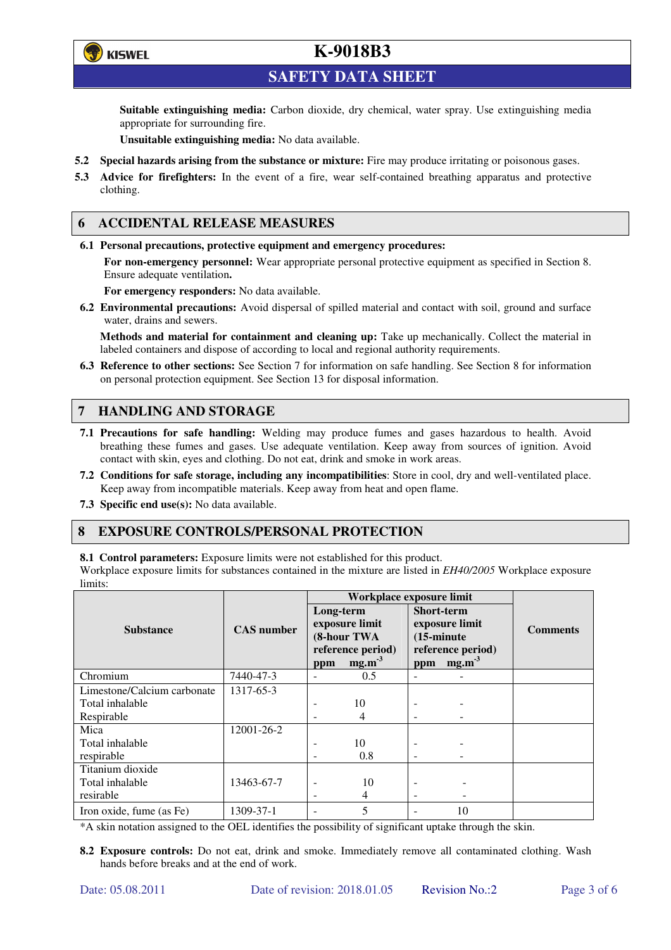

**SAFETY DATA SHEET** 

**Suitable extinguishing media:** Carbon dioxide, dry chemical, water spray. Use extinguishing media appropriate for surrounding fire.

**Unsuitable extinguishing media:** No data available.

- **5.2 Special hazards arising from the substance or mixture:** Fire may produce irritating or poisonous gases.
- **5.3 Advice for firefighters:** In the event of a fire, wear self-contained breathing apparatus and protective clothing.

### **6 ACCIDENTAL RELEASE MEASURES**

**6.1 Personal precautions, protective equipment and emergency procedures:** 

**For non-emergency personnel:** Wear appropriate personal protective equipment as specified in Section 8. Ensure adequate ventilation**.** 

**For emergency responders:** No data available.

**6.2 Environmental precautions:** Avoid dispersal of spilled material and contact with soil, ground and surface water, drains and sewers.

**Methods and material for containment and cleaning up:** Take up mechanically. Collect the material in labeled containers and dispose of according to local and regional authority requirements.

**6.3 Reference to other sections:** See Section 7 for information on safe handling. See Section 8 for information on personal protection equipment. See Section 13 for disposal information.

## **7 HANDLING AND STORAGE**

- **7.1 Precautions for safe handling:** Welding may produce fumes and gases hazardous to health. Avoid breathing these fumes and gases. Use adequate ventilation. Keep away from sources of ignition. Avoid contact with skin, eyes and clothing. Do not eat, drink and smoke in work areas.
- **7.2 Conditions for safe storage, including any incompatibilities**: Store in cool, dry and well-ventilated place. Keep away from incompatible materials. Keep away from heat and open flame.
- **7.3 Specific end use(s):** No data available.

#### **8 EXPOSURE CONTROLS/PERSONAL PROTECTION**

**8.1 Control parameters:** Exposure limits were not established for this product.

Workplace exposure limits for substances contained in the mixture are listed in *EH40/2005* Workplace exposure limits:

|                             |                   | Workplace exposure limit                                        |                   |                                                                                  |             |                 |  |
|-----------------------------|-------------------|-----------------------------------------------------------------|-------------------|----------------------------------------------------------------------------------|-------------|-----------------|--|
|                             |                   | Long-term<br>exposure limit<br>(8-hour TWA<br>reference period) |                   | <b>Short-term</b><br>exposure limit<br>$(15\text{-minute})$<br>reference period) |             | <b>Comments</b> |  |
| <b>Substance</b>            | <b>CAS</b> number |                                                                 |                   |                                                                                  |             |                 |  |
|                             |                   |                                                                 |                   |                                                                                  |             |                 |  |
|                             |                   |                                                                 |                   |                                                                                  |             |                 |  |
|                             |                   | ppm                                                             | mg.m <sup>3</sup> |                                                                                  | ppm $mg.m3$ |                 |  |
| Chromium                    | 7440-47-3         | $\overline{\phantom{a}}$                                        | 0.5               |                                                                                  |             |                 |  |
| Limestone/Calcium carbonate | 1317-65-3         |                                                                 |                   |                                                                                  |             |                 |  |
| Total inhalable             |                   |                                                                 | 10                |                                                                                  |             |                 |  |
| Respirable                  |                   |                                                                 | 4                 |                                                                                  |             |                 |  |
| Mica                        | 12001-26-2        |                                                                 |                   |                                                                                  |             |                 |  |
| Total inhalable             |                   | ٠                                                               | 10                |                                                                                  |             |                 |  |
| respirable                  |                   | $\overline{\phantom{0}}$                                        | 0.8               | -                                                                                |             |                 |  |
| Titanium dioxide            |                   |                                                                 |                   |                                                                                  |             |                 |  |
| Total inhalable             | 13463-67-7        |                                                                 | 10                |                                                                                  |             |                 |  |
| resirable                   |                   |                                                                 | 4                 | ۰                                                                                |             |                 |  |
| Iron oxide, fume (as Fe)    | 1309-37-1         | ۰                                                               | 5                 |                                                                                  | 10          |                 |  |

\*A skin notation assigned to the OEL identifies the possibility of significant uptake through the skin.

**8.2 Exposure controls:** Do not eat, drink and smoke. Immediately remove all contaminated clothing. Wash hands before breaks and at the end of work.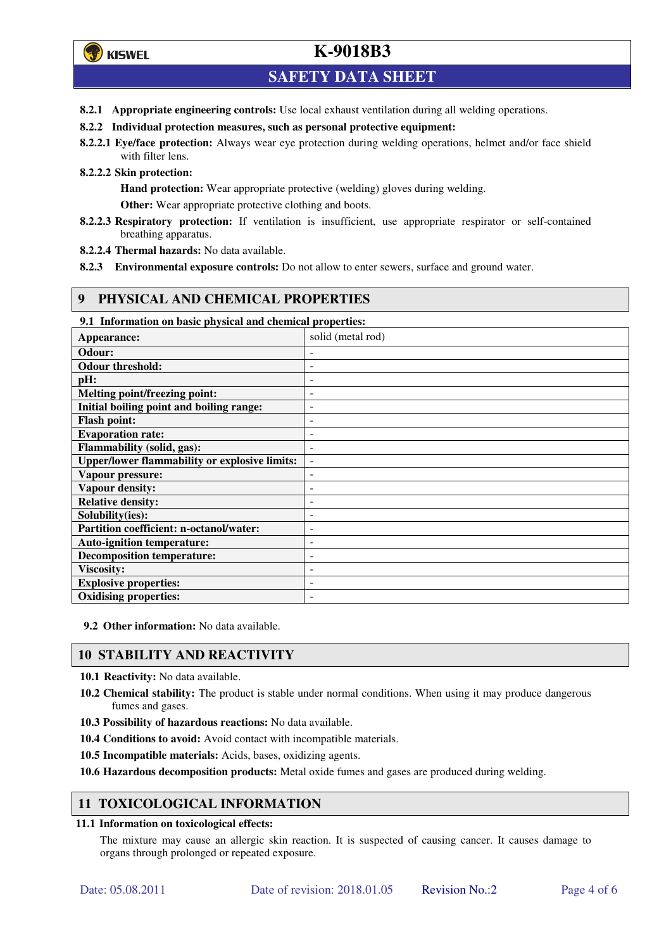## **SAFETY DATA SHEET**

- **8.2.1 Appropriate engineering controls:** Use local exhaust ventilation during all welding operations.
- **8.2.2 Individual protection measures, such as personal protective equipment:**
- **8.2.2.1 Eye/face protection:** Always wear eye protection during welding operations, helmet and/or face shield with filter lens.
- **8.2.2.2 Skin protection:**

**Hand protection:** Wear appropriate protective (welding) gloves during welding.

**Other:** Wear appropriate protective clothing and boots.

- **8.2.2.3 Respiratory protection:** If ventilation is insufficient, use appropriate respirator or self-contained breathing apparatus.
- **8.2.2.4 Thermal hazards:** No data available.
- **8.2.3 Environmental exposure controls:** Do not allow to enter sewers, surface and ground water.

### **9 PHYSICAL AND CHEMICAL PROPERTIES**

**9.1 Information on basic physical and chemical properties:** 

| Appearance:                                          | solid (metal rod)        |
|------------------------------------------------------|--------------------------|
| Odour:                                               |                          |
| <b>Odour threshold:</b>                              |                          |
| pH:                                                  | -                        |
| Melting point/freezing point:                        | $\overline{a}$           |
| Initial boiling point and boiling range:             | $\overline{a}$           |
| <b>Flash point:</b>                                  | -                        |
| <b>Evaporation rate:</b>                             |                          |
| Flammability (solid, gas):                           | $\overline{\phantom{0}}$ |
| <b>Upper/lower flammability or explosive limits:</b> | $\overline{\phantom{a}}$ |
| Vapour pressure:                                     | -                        |
| <b>Vapour density:</b>                               |                          |
| <b>Relative density:</b>                             |                          |
| Solubility(ies):                                     |                          |
| Partition coefficient: n-octanol/water:              | $\overline{a}$           |
| <b>Auto-ignition temperature:</b>                    | $\overline{a}$           |
| <b>Decomposition temperature:</b>                    |                          |
| <b>Viscosity:</b>                                    |                          |
| <b>Explosive properties:</b>                         |                          |
| <b>Oxidising properties:</b>                         |                          |

**9.2 Other information:** No data available.

## **10 STABILITY AND REACTIVITY**

**10.1 Reactivity:** No data available.

- **10.2 Chemical stability:** The product is stable under normal conditions. When using it may produce dangerous fumes and gases.
- **10.3 Possibility of hazardous reactions:** No data available.
- **10.4 Conditions to avoid:** Avoid contact with incompatible materials.
- **10.5 Incompatible materials:** Acids, bases, oxidizing agents.

**10.6 Hazardous decomposition products:** Metal oxide fumes and gases are produced during welding.

#### **11 TOXICOLOGICAL INFORMATION**

#### **11.1 Information on toxicological effects:**

The mixture may cause an allergic skin reaction. It is suspected of causing cancer. It causes damage to organs through prolonged or repeated exposure.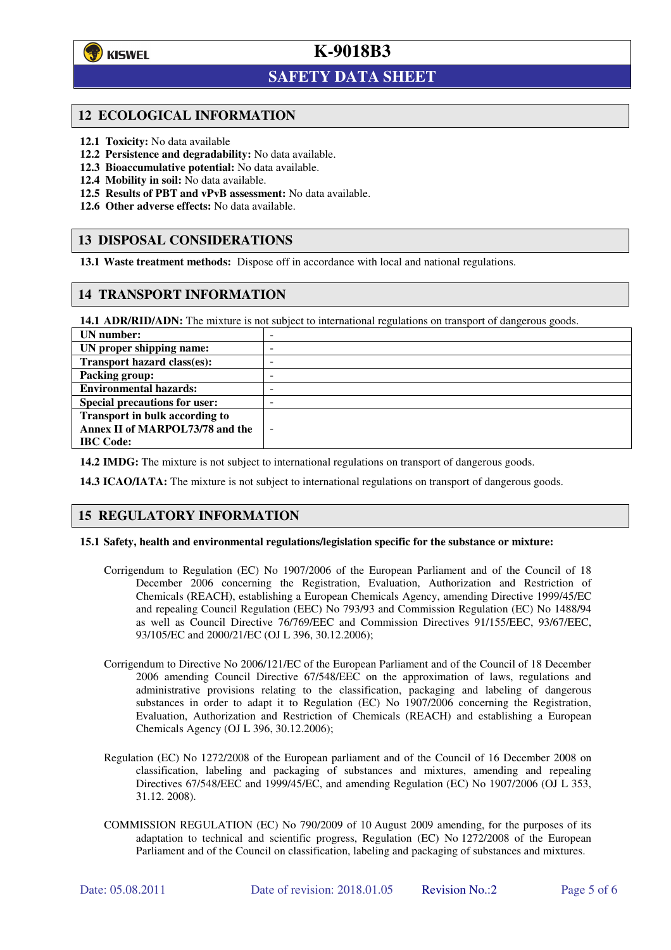

l

## **K-9018B3**

## **SAFETY DATA SHEET**

#### **12 ECOLOGICAL INFORMATION**

- **12.1 Toxicity:** No data available
- **12.2 Persistence and degradability:** No data available.
- **12.3 Bioaccumulative potential:** No data available.
- **12.4 Mobility in soil:** No data available.
- **12.5 Results of PBT and vPvB assessment:** No data available.
- **12.6 Other adverse effects:** No data available.

### **13 DISPOSAL CONSIDERATIONS**

**13.1 Waste treatment methods:** Dispose off in accordance with local and national regulations.

### **14 TRANSPORT INFORMATION**

**14.1 ADR/RID/ADN:** The mixture is not subject to international regulations on transport of dangerous goods.

| UN number:                            | $\sim$                   |
|---------------------------------------|--------------------------|
| UN proper shipping name:              | -                        |
| Transport hazard class(es):           | -                        |
| <b>Packing group:</b>                 | -                        |
| <b>Environmental hazards:</b>         | -                        |
| <b>Special precautions for user:</b>  | -                        |
| <b>Transport in bulk according to</b> |                          |
| Annex II of MARPOL73/78 and the       | $\overline{\phantom{a}}$ |
| <b>IBC</b> Code:                      |                          |

**14.2 IMDG:** The mixture is not subject to international regulations on transport of dangerous goods.

**14.3 ICAO/IATA:** The mixture is not subject to international regulations on transport of dangerous goods.

#### **15 REGULATORY INFORMATION**

#### **15.1 Safety, health and environmental regulations/legislation specific for the substance or mixture:**

- Corrigendum to Regulation (EC) No 1907/2006 of the European Parliament and of the Council of 18 December 2006 concerning the Registration, Evaluation, Authorization and Restriction of Chemicals (REACH), establishing a European Chemicals Agency, amending Directive 1999/45/EC and repealing Council Regulation (EEC) No 793/93 and Commission Regulation (EC) No 1488/94 as well as Council Directive 76/769/EEC and Commission Directives 91/155/EEC, 93/67/EEC, 93/105/EC and 2000/21/EC (OJ L 396, 30.12.2006);
- Corrigendum to Directive No 2006/121/EC of the European Parliament and of the Council of 18 December 2006 amending Council Directive 67/548/EEC on the approximation of laws, regulations and administrative provisions relating to the classification, packaging and labeling of dangerous substances in order to adapt it to Regulation (EC) No 1907/2006 concerning the Registration, Evaluation, Authorization and Restriction of Chemicals (REACH) and establishing a European Chemicals Agency (OJ L 396, 30.12.2006);
- Regulation (EC) No 1272/2008 of the European parliament and of the Council of 16 December 2008 on classification, labeling and packaging of substances and mixtures, amending and repealing Directives 67/548/EEC and 1999/45/EC, and amending Regulation (EC) No 1907/2006 (OJ L 353, 31.12. 2008).
- COMMISSION REGULATION (EC) No 790/2009 of 10 August 2009 amending, for the purposes of its adaptation to technical and scientific progress, Regulation (EC) No 1272/2008 of the European Parliament and of the Council on classification, labeling and packaging of substances and mixtures.